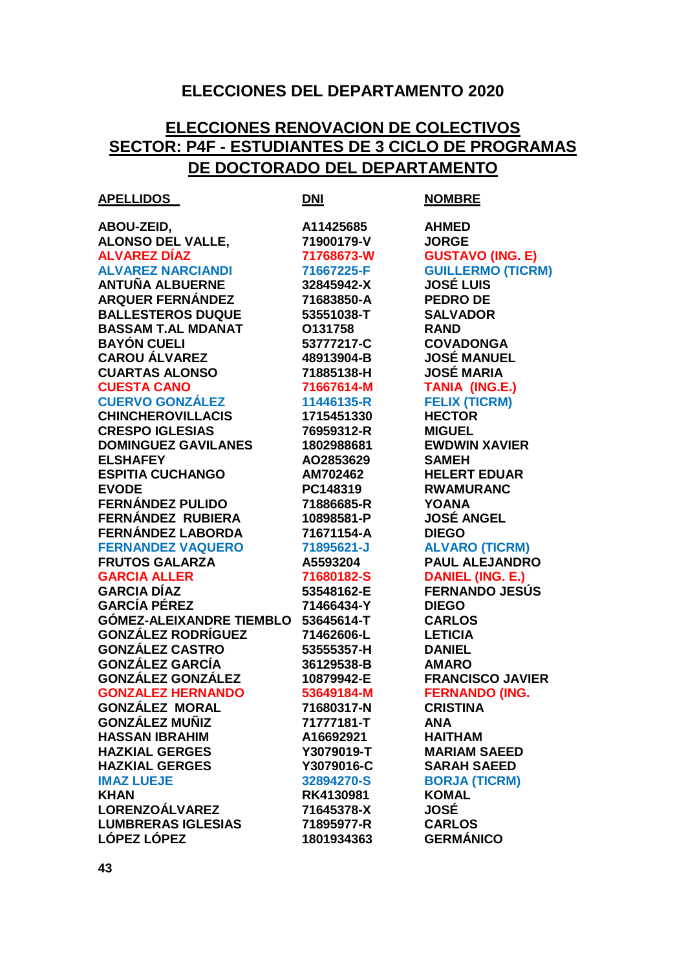## **ELECCIONES DEL DEPARTAMENTO 2020**

## **ELECCIONES RENOVACION DE COLECTIVOS SECTOR: P4F - ESTUDIANTES DE 3 CICLO DE PROGRAMAS DE DOCTORADO DEL DEPARTAMENTO**

| A11425685<br><b>AHMED</b><br>71900179-V<br><b>JORGE</b><br><b>ALVAREZ DÍAZ</b><br><b>GUSTAVO (ING. E)</b><br>71768673-W<br><b>GUILLERMO (TICRM)</b><br>71667225-F<br><b>JOSÉ LUIS</b><br>32845942-X<br>71683850-A<br><b>PEDRO DE</b><br>53551038-T<br><b>SALVADOR</b><br>O131758<br><b>RAND</b><br>53777217-C<br><b>COVADONGA</b><br><b>JOSÉ MANUEL</b><br>48913904-B<br><b>JOSÉ MARIA</b><br>71885138-H<br><b>TANIA (ING.E.)</b><br>71667614-M<br><b>FELIX (TICRM)</b><br>11446135-R<br><b>HECTOR</b><br>1715451330<br><b>CRESPO IGLESIAS</b><br>76959312-R<br><b>MIGUEL</b><br><b>DOMINGUEZ GAVILANES</b><br><b>EWDWIN XAVIER</b><br>1802988681<br>AO2853629<br><b>SAMEH</b><br>AM702462<br><b>HELERT EDUAR</b><br><b>RWAMURANC</b><br>PC148319<br><b>FERNÁNDEZ PULIDO</b><br>71886685-R<br><b>YOANA</b><br><b>JOSÉ ANGEL</b><br>10898581-P<br>FERNÁNDEZ LABORDA<br>71671154-A<br><b>DIEGO</b><br><b>ALVARO (TICRM)</b><br>71895621-J<br><b>PAUL ALEJANDRO</b><br>A5593204<br><b>DANIEL (ING. E.)</b><br>71680182-S<br><b>FERNANDO JESÚS</b><br>53548162-E<br>71466434-Y<br><b>DIEGO</b><br>GÓMEZ-ALEIXANDRE TIEMBLO 53645614-T<br><b>CARLOS</b><br><b>GONZÁLEZ RODRÍGUEZ</b><br>71462606-L<br><b>LETICIA</b><br>53555357-H<br><b>DANIEL</b><br><b>GONZÁLEZ GARCÍA</b><br>36129538-B<br><b>AMARO</b><br><b>GONZÁLEZ GONZÁLEZ</b><br><b>FRANCISCO JAVIER</b><br>10879942-E<br><b>FERNANDO (ING.</b><br><b>GONZALEZ HERNANDO</b><br>53649184-M<br><b>GONZÁLEZ MORAL</b><br>71680317-N<br><b>CRISTINA</b><br><b>GONZÁLEZ MUÑIZ</b><br>71777181-T<br><b>ANA</b><br><b>HASSAN IBRAHIM</b><br>A16692921<br><b>HAITHAM</b><br><b>MARIAM SAEED</b><br>Y3079019-T<br>Y3079016-C<br><b>SARAH SAEED</b><br><b>BORJA (TICRM)</b><br><b>IMAZ LUEJE</b><br>32894270-S<br><b>KOMAL</b><br>RK4130981<br><b>JOSÉ</b><br>71645378-X<br><b>CARLOS</b><br>71895977-R<br><b>GERMÁNICO</b><br>1801934363 | <b>APELLIDOS</b>          | <u>DNI</u> | <b>NOMBRE</b> |
|--------------------------------------------------------------------------------------------------------------------------------------------------------------------------------------------------------------------------------------------------------------------------------------------------------------------------------------------------------------------------------------------------------------------------------------------------------------------------------------------------------------------------------------------------------------------------------------------------------------------------------------------------------------------------------------------------------------------------------------------------------------------------------------------------------------------------------------------------------------------------------------------------------------------------------------------------------------------------------------------------------------------------------------------------------------------------------------------------------------------------------------------------------------------------------------------------------------------------------------------------------------------------------------------------------------------------------------------------------------------------------------------------------------------------------------------------------------------------------------------------------------------------------------------------------------------------------------------------------------------------------------------------------------------------------------------------------------------------------------------------------------------------------------------------------------------------------------------------------------------------------------|---------------------------|------------|---------------|
|                                                                                                                                                                                                                                                                                                                                                                                                                                                                                                                                                                                                                                                                                                                                                                                                                                                                                                                                                                                                                                                                                                                                                                                                                                                                                                                                                                                                                                                                                                                                                                                                                                                                                                                                                                                                                                                                                      | ABOU-ZEID,                |            |               |
|                                                                                                                                                                                                                                                                                                                                                                                                                                                                                                                                                                                                                                                                                                                                                                                                                                                                                                                                                                                                                                                                                                                                                                                                                                                                                                                                                                                                                                                                                                                                                                                                                                                                                                                                                                                                                                                                                      | <b>ALONSO DEL VALLE,</b>  |            |               |
|                                                                                                                                                                                                                                                                                                                                                                                                                                                                                                                                                                                                                                                                                                                                                                                                                                                                                                                                                                                                                                                                                                                                                                                                                                                                                                                                                                                                                                                                                                                                                                                                                                                                                                                                                                                                                                                                                      |                           |            |               |
|                                                                                                                                                                                                                                                                                                                                                                                                                                                                                                                                                                                                                                                                                                                                                                                                                                                                                                                                                                                                                                                                                                                                                                                                                                                                                                                                                                                                                                                                                                                                                                                                                                                                                                                                                                                                                                                                                      | <b>ALVAREZ NARCIANDI</b>  |            |               |
|                                                                                                                                                                                                                                                                                                                                                                                                                                                                                                                                                                                                                                                                                                                                                                                                                                                                                                                                                                                                                                                                                                                                                                                                                                                                                                                                                                                                                                                                                                                                                                                                                                                                                                                                                                                                                                                                                      | <b>ANTUÑA ALBUERNE</b>    |            |               |
|                                                                                                                                                                                                                                                                                                                                                                                                                                                                                                                                                                                                                                                                                                                                                                                                                                                                                                                                                                                                                                                                                                                                                                                                                                                                                                                                                                                                                                                                                                                                                                                                                                                                                                                                                                                                                                                                                      | <b>ARQUER FERNÁNDEZ</b>   |            |               |
|                                                                                                                                                                                                                                                                                                                                                                                                                                                                                                                                                                                                                                                                                                                                                                                                                                                                                                                                                                                                                                                                                                                                                                                                                                                                                                                                                                                                                                                                                                                                                                                                                                                                                                                                                                                                                                                                                      | <b>BALLESTEROS DUQUE</b>  |            |               |
|                                                                                                                                                                                                                                                                                                                                                                                                                                                                                                                                                                                                                                                                                                                                                                                                                                                                                                                                                                                                                                                                                                                                                                                                                                                                                                                                                                                                                                                                                                                                                                                                                                                                                                                                                                                                                                                                                      | <b>BASSAM T.AL MDANAT</b> |            |               |
|                                                                                                                                                                                                                                                                                                                                                                                                                                                                                                                                                                                                                                                                                                                                                                                                                                                                                                                                                                                                                                                                                                                                                                                                                                                                                                                                                                                                                                                                                                                                                                                                                                                                                                                                                                                                                                                                                      | <b>BAYÓN CUELI</b>        |            |               |
|                                                                                                                                                                                                                                                                                                                                                                                                                                                                                                                                                                                                                                                                                                                                                                                                                                                                                                                                                                                                                                                                                                                                                                                                                                                                                                                                                                                                                                                                                                                                                                                                                                                                                                                                                                                                                                                                                      | <b>CAROU ÁLVAREZ</b>      |            |               |
|                                                                                                                                                                                                                                                                                                                                                                                                                                                                                                                                                                                                                                                                                                                                                                                                                                                                                                                                                                                                                                                                                                                                                                                                                                                                                                                                                                                                                                                                                                                                                                                                                                                                                                                                                                                                                                                                                      | <b>CUARTAS ALONSO</b>     |            |               |
|                                                                                                                                                                                                                                                                                                                                                                                                                                                                                                                                                                                                                                                                                                                                                                                                                                                                                                                                                                                                                                                                                                                                                                                                                                                                                                                                                                                                                                                                                                                                                                                                                                                                                                                                                                                                                                                                                      | <b>CUESTA CANO</b>        |            |               |
|                                                                                                                                                                                                                                                                                                                                                                                                                                                                                                                                                                                                                                                                                                                                                                                                                                                                                                                                                                                                                                                                                                                                                                                                                                                                                                                                                                                                                                                                                                                                                                                                                                                                                                                                                                                                                                                                                      | <b>CUERVO GONZÁLEZ</b>    |            |               |
|                                                                                                                                                                                                                                                                                                                                                                                                                                                                                                                                                                                                                                                                                                                                                                                                                                                                                                                                                                                                                                                                                                                                                                                                                                                                                                                                                                                                                                                                                                                                                                                                                                                                                                                                                                                                                                                                                      | <b>CHINCHEROVILLACIS</b>  |            |               |
|                                                                                                                                                                                                                                                                                                                                                                                                                                                                                                                                                                                                                                                                                                                                                                                                                                                                                                                                                                                                                                                                                                                                                                                                                                                                                                                                                                                                                                                                                                                                                                                                                                                                                                                                                                                                                                                                                      |                           |            |               |
|                                                                                                                                                                                                                                                                                                                                                                                                                                                                                                                                                                                                                                                                                                                                                                                                                                                                                                                                                                                                                                                                                                                                                                                                                                                                                                                                                                                                                                                                                                                                                                                                                                                                                                                                                                                                                                                                                      |                           |            |               |
|                                                                                                                                                                                                                                                                                                                                                                                                                                                                                                                                                                                                                                                                                                                                                                                                                                                                                                                                                                                                                                                                                                                                                                                                                                                                                                                                                                                                                                                                                                                                                                                                                                                                                                                                                                                                                                                                                      | <b>ELSHAFEY</b>           |            |               |
|                                                                                                                                                                                                                                                                                                                                                                                                                                                                                                                                                                                                                                                                                                                                                                                                                                                                                                                                                                                                                                                                                                                                                                                                                                                                                                                                                                                                                                                                                                                                                                                                                                                                                                                                                                                                                                                                                      | <b>ESPITIA CUCHANGO</b>   |            |               |
|                                                                                                                                                                                                                                                                                                                                                                                                                                                                                                                                                                                                                                                                                                                                                                                                                                                                                                                                                                                                                                                                                                                                                                                                                                                                                                                                                                                                                                                                                                                                                                                                                                                                                                                                                                                                                                                                                      | <b>EVODE</b>              |            |               |
|                                                                                                                                                                                                                                                                                                                                                                                                                                                                                                                                                                                                                                                                                                                                                                                                                                                                                                                                                                                                                                                                                                                                                                                                                                                                                                                                                                                                                                                                                                                                                                                                                                                                                                                                                                                                                                                                                      |                           |            |               |
|                                                                                                                                                                                                                                                                                                                                                                                                                                                                                                                                                                                                                                                                                                                                                                                                                                                                                                                                                                                                                                                                                                                                                                                                                                                                                                                                                                                                                                                                                                                                                                                                                                                                                                                                                                                                                                                                                      | FERNÁNDEZ RUBIERA         |            |               |
|                                                                                                                                                                                                                                                                                                                                                                                                                                                                                                                                                                                                                                                                                                                                                                                                                                                                                                                                                                                                                                                                                                                                                                                                                                                                                                                                                                                                                                                                                                                                                                                                                                                                                                                                                                                                                                                                                      |                           |            |               |
|                                                                                                                                                                                                                                                                                                                                                                                                                                                                                                                                                                                                                                                                                                                                                                                                                                                                                                                                                                                                                                                                                                                                                                                                                                                                                                                                                                                                                                                                                                                                                                                                                                                                                                                                                                                                                                                                                      | <b>FERNANDEZ VAQUERO</b>  |            |               |
|                                                                                                                                                                                                                                                                                                                                                                                                                                                                                                                                                                                                                                                                                                                                                                                                                                                                                                                                                                                                                                                                                                                                                                                                                                                                                                                                                                                                                                                                                                                                                                                                                                                                                                                                                                                                                                                                                      | <b>FRUTOS GALARZA</b>     |            |               |
|                                                                                                                                                                                                                                                                                                                                                                                                                                                                                                                                                                                                                                                                                                                                                                                                                                                                                                                                                                                                                                                                                                                                                                                                                                                                                                                                                                                                                                                                                                                                                                                                                                                                                                                                                                                                                                                                                      | <b>GARCIA ALLER</b>       |            |               |
|                                                                                                                                                                                                                                                                                                                                                                                                                                                                                                                                                                                                                                                                                                                                                                                                                                                                                                                                                                                                                                                                                                                                                                                                                                                                                                                                                                                                                                                                                                                                                                                                                                                                                                                                                                                                                                                                                      | <b>GARCIA DÍAZ</b>        |            |               |
|                                                                                                                                                                                                                                                                                                                                                                                                                                                                                                                                                                                                                                                                                                                                                                                                                                                                                                                                                                                                                                                                                                                                                                                                                                                                                                                                                                                                                                                                                                                                                                                                                                                                                                                                                                                                                                                                                      | <b>GARCÍA PÉREZ</b>       |            |               |
|                                                                                                                                                                                                                                                                                                                                                                                                                                                                                                                                                                                                                                                                                                                                                                                                                                                                                                                                                                                                                                                                                                                                                                                                                                                                                                                                                                                                                                                                                                                                                                                                                                                                                                                                                                                                                                                                                      |                           |            |               |
|                                                                                                                                                                                                                                                                                                                                                                                                                                                                                                                                                                                                                                                                                                                                                                                                                                                                                                                                                                                                                                                                                                                                                                                                                                                                                                                                                                                                                                                                                                                                                                                                                                                                                                                                                                                                                                                                                      |                           |            |               |
|                                                                                                                                                                                                                                                                                                                                                                                                                                                                                                                                                                                                                                                                                                                                                                                                                                                                                                                                                                                                                                                                                                                                                                                                                                                                                                                                                                                                                                                                                                                                                                                                                                                                                                                                                                                                                                                                                      | <b>GONZÁLEZ CASTRO</b>    |            |               |
|                                                                                                                                                                                                                                                                                                                                                                                                                                                                                                                                                                                                                                                                                                                                                                                                                                                                                                                                                                                                                                                                                                                                                                                                                                                                                                                                                                                                                                                                                                                                                                                                                                                                                                                                                                                                                                                                                      |                           |            |               |
|                                                                                                                                                                                                                                                                                                                                                                                                                                                                                                                                                                                                                                                                                                                                                                                                                                                                                                                                                                                                                                                                                                                                                                                                                                                                                                                                                                                                                                                                                                                                                                                                                                                                                                                                                                                                                                                                                      |                           |            |               |
|                                                                                                                                                                                                                                                                                                                                                                                                                                                                                                                                                                                                                                                                                                                                                                                                                                                                                                                                                                                                                                                                                                                                                                                                                                                                                                                                                                                                                                                                                                                                                                                                                                                                                                                                                                                                                                                                                      |                           |            |               |
|                                                                                                                                                                                                                                                                                                                                                                                                                                                                                                                                                                                                                                                                                                                                                                                                                                                                                                                                                                                                                                                                                                                                                                                                                                                                                                                                                                                                                                                                                                                                                                                                                                                                                                                                                                                                                                                                                      |                           |            |               |
|                                                                                                                                                                                                                                                                                                                                                                                                                                                                                                                                                                                                                                                                                                                                                                                                                                                                                                                                                                                                                                                                                                                                                                                                                                                                                                                                                                                                                                                                                                                                                                                                                                                                                                                                                                                                                                                                                      |                           |            |               |
|                                                                                                                                                                                                                                                                                                                                                                                                                                                                                                                                                                                                                                                                                                                                                                                                                                                                                                                                                                                                                                                                                                                                                                                                                                                                                                                                                                                                                                                                                                                                                                                                                                                                                                                                                                                                                                                                                      |                           |            |               |
|                                                                                                                                                                                                                                                                                                                                                                                                                                                                                                                                                                                                                                                                                                                                                                                                                                                                                                                                                                                                                                                                                                                                                                                                                                                                                                                                                                                                                                                                                                                                                                                                                                                                                                                                                                                                                                                                                      | <b>HAZKIAL GERGES</b>     |            |               |
|                                                                                                                                                                                                                                                                                                                                                                                                                                                                                                                                                                                                                                                                                                                                                                                                                                                                                                                                                                                                                                                                                                                                                                                                                                                                                                                                                                                                                                                                                                                                                                                                                                                                                                                                                                                                                                                                                      | <b>HAZKIAL GERGES</b>     |            |               |
|                                                                                                                                                                                                                                                                                                                                                                                                                                                                                                                                                                                                                                                                                                                                                                                                                                                                                                                                                                                                                                                                                                                                                                                                                                                                                                                                                                                                                                                                                                                                                                                                                                                                                                                                                                                                                                                                                      |                           |            |               |
|                                                                                                                                                                                                                                                                                                                                                                                                                                                                                                                                                                                                                                                                                                                                                                                                                                                                                                                                                                                                                                                                                                                                                                                                                                                                                                                                                                                                                                                                                                                                                                                                                                                                                                                                                                                                                                                                                      | <b>KHAN</b>               |            |               |
|                                                                                                                                                                                                                                                                                                                                                                                                                                                                                                                                                                                                                                                                                                                                                                                                                                                                                                                                                                                                                                                                                                                                                                                                                                                                                                                                                                                                                                                                                                                                                                                                                                                                                                                                                                                                                                                                                      | <b>LORENZOÁLVAREZ</b>     |            |               |
|                                                                                                                                                                                                                                                                                                                                                                                                                                                                                                                                                                                                                                                                                                                                                                                                                                                                                                                                                                                                                                                                                                                                                                                                                                                                                                                                                                                                                                                                                                                                                                                                                                                                                                                                                                                                                                                                                      | <b>LUMBRERAS IGLESIAS</b> |            |               |
|                                                                                                                                                                                                                                                                                                                                                                                                                                                                                                                                                                                                                                                                                                                                                                                                                                                                                                                                                                                                                                                                                                                                                                                                                                                                                                                                                                                                                                                                                                                                                                                                                                                                                                                                                                                                                                                                                      | <b>LÓPEZ LÓPEZ</b>        |            |               |